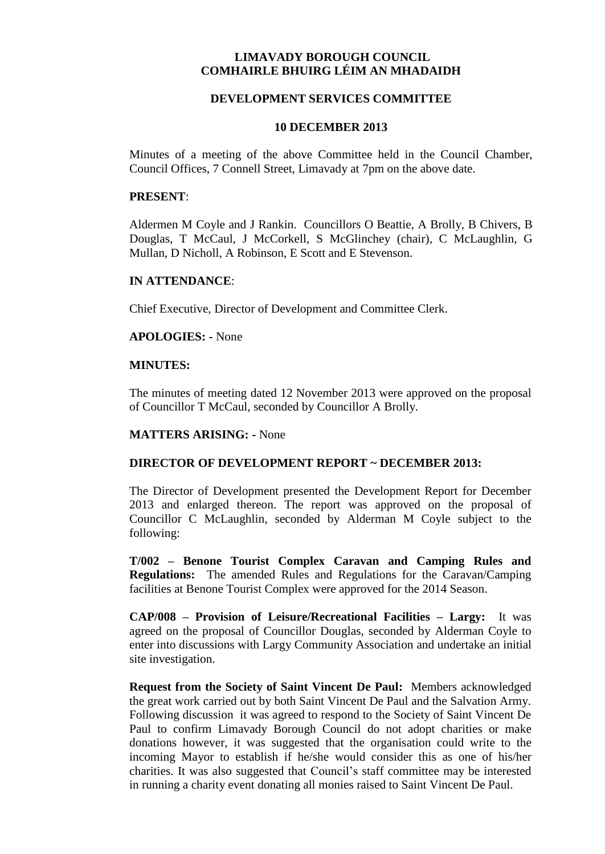# **LIMAVADY BOROUGH COUNCIL COMHAIRLE BHUIRG LÉIM AN MHADAIDH**

### **DEVELOPMENT SERVICES COMMITTEE**

#### **10 DECEMBER 2013**

Minutes of a meeting of the above Committee held in the Council Chamber, Council Offices, 7 Connell Street, Limavady at 7pm on the above date.

#### **PRESENT**:

Aldermen M Coyle and J Rankin. Councillors O Beattie, A Brolly, B Chivers, B Douglas, T McCaul, J McCorkell, S McGlinchey (chair), C McLaughlin, G Mullan, D Nicholl, A Robinson, E Scott and E Stevenson.

### **IN ATTENDANCE**:

Chief Executive, Director of Development and Committee Clerk.

### **APOLOGIES: -** None

### **MINUTES:**

The minutes of meeting dated 12 November 2013 were approved on the proposal of Councillor T McCaul, seconded by Councillor A Brolly.

## **MATTERS ARISING: -** None

## **DIRECTOR OF DEVELOPMENT REPORT ~ DECEMBER 2013:**

The Director of Development presented the Development Report for December 2013 and enlarged thereon. The report was approved on the proposal of Councillor C McLaughlin, seconded by Alderman M Coyle subject to the following:

**T/002 – Benone Tourist Complex Caravan and Camping Rules and Regulations:** The amended Rules and Regulations for the Caravan/Camping facilities at Benone Tourist Complex were approved for the 2014 Season.

**CAP/008 – Provision of Leisure/Recreational Facilities – Largy:** It was agreed on the proposal of Councillor Douglas, seconded by Alderman Coyle to enter into discussions with Largy Community Association and undertake an initial site investigation.

**Request from the Society of Saint Vincent De Paul:** Members acknowledged the great work carried out by both Saint Vincent De Paul and the Salvation Army. Following discussion it was agreed to respond to the Society of Saint Vincent De Paul to confirm Limavady Borough Council do not adopt charities or make donations however, it was suggested that the organisation could write to the incoming Mayor to establish if he/she would consider this as one of his/her charities. It was also suggested that Council's staff committee may be interested in running a charity event donating all monies raised to Saint Vincent De Paul.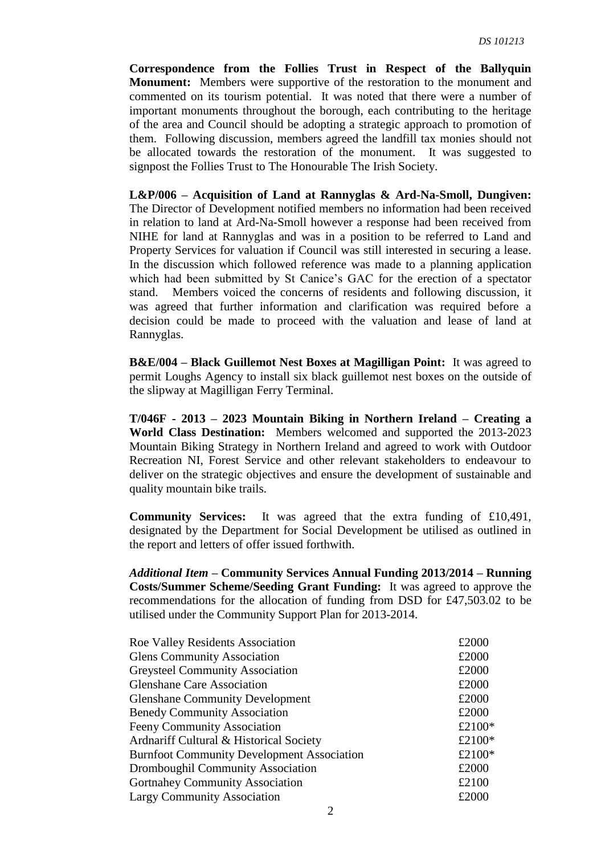**Correspondence from the Follies Trust in Respect of the Ballyquin Monument:** Members were supportive of the restoration to the monument and commented on its tourism potential. It was noted that there were a number of important monuments throughout the borough, each contributing to the heritage of the area and Council should be adopting a strategic approach to promotion of them. Following discussion, members agreed the landfill tax monies should not be allocated towards the restoration of the monument. It was suggested to signpost the Follies Trust to The Honourable The Irish Society.

**L&P/006 – Acquisition of Land at Rannyglas & Ard-Na-Smoll, Dungiven:** The Director of Development notified members no information had been received in relation to land at Ard-Na-Smoll however a response had been received from NIHE for land at Rannyglas and was in a position to be referred to Land and Property Services for valuation if Council was still interested in securing a lease. In the discussion which followed reference was made to a planning application which had been submitted by St Canice's GAC for the erection of a spectator stand. Members voiced the concerns of residents and following discussion, it was agreed that further information and clarification was required before a decision could be made to proceed with the valuation and lease of land at Rannyglas.

**B&E/004 – Black Guillemot Nest Boxes at Magilligan Point:** It was agreed to permit Loughs Agency to install six black guillemot nest boxes on the outside of the slipway at Magilligan Ferry Terminal.

**T/046F - 2013 – 2023 Mountain Biking in Northern Ireland – Creating a World Class Destination:** Members welcomed and supported the 2013-2023 Mountain Biking Strategy in Northern Ireland and agreed to work with Outdoor Recreation NI, Forest Service and other relevant stakeholders to endeavour to deliver on the strategic objectives and ensure the development of sustainable and quality mountain bike trails.

**Community Services:** It was agreed that the extra funding of £10,491, designated by the Department for Social Development be utilised as outlined in the report and letters of offer issued forthwith.

*Additional Item* **– Community Services Annual Funding 2013/2014 – Running Costs/Summer Scheme/Seeding Grant Funding:** It was agreed to approve the recommendations for the allocation of funding from DSD for £47,503.02 to be utilised under the Community Support Plan for 2013-2014.

| Roe Valley Residents Association                  | £2000  |
|---------------------------------------------------|--------|
| <b>Glens Community Association</b>                | £2000  |
| <b>Greysteel Community Association</b>            | £2000  |
| <b>Glenshane Care Association</b>                 | £2000  |
| <b>Glenshane Community Development</b>            | £2000  |
| <b>Benedy Community Association</b>               | £2000  |
| <b>Feeny Community Association</b>                | £2100* |
| Ardnariff Cultural & Historical Society           | £2100* |
| <b>Burnfoot Community Development Association</b> | £2100* |
| <b>Dromboughil Community Association</b>          | £2000  |
| <b>Gortnahey Community Association</b>            | £2100  |
| <b>Largy Community Association</b>                | £2000  |
|                                                   |        |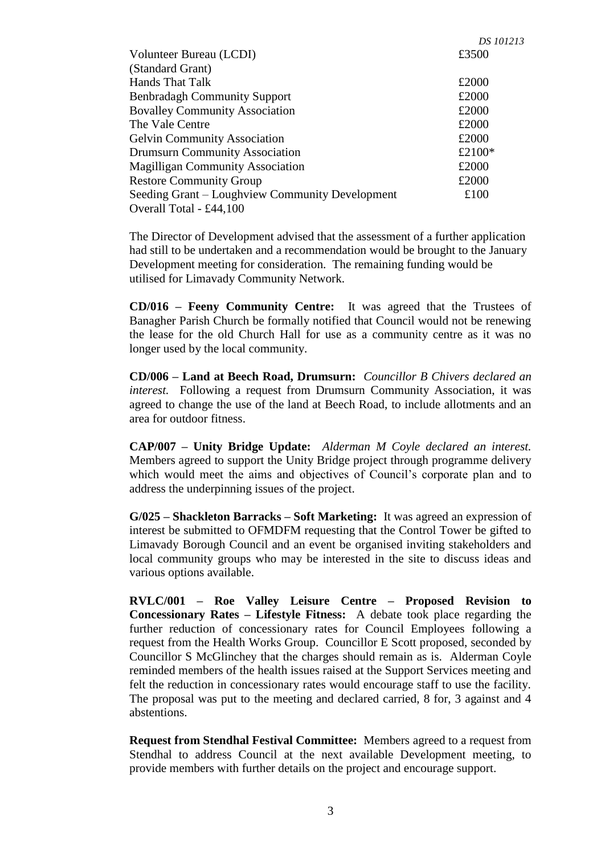|                                                 | DS 101213 |
|-------------------------------------------------|-----------|
| Volunteer Bureau (LCDI)                         | £3500     |
| (Standard Grant)                                |           |
| Hands That Talk                                 | £2000     |
| <b>Benbradagh Community Support</b>             | £2000     |
| <b>Bovalley Community Association</b>           | £2000     |
| The Vale Centre                                 | £2000     |
| <b>Gelvin Community Association</b>             | £2000     |
| <b>Drumsurn Community Association</b>           | £2100*    |
| <b>Magilligan Community Association</b>         | £2000     |
| <b>Restore Community Group</b>                  | £2000     |
| Seeding Grant – Loughview Community Development | £100      |
| Overall Total - £44,100                         |           |

The Director of Development advised that the assessment of a further application had still to be undertaken and a recommendation would be brought to the January Development meeting for consideration. The remaining funding would be utilised for Limavady Community Network.

**CD/016 – Feeny Community Centre:** It was agreed that the Trustees of Banagher Parish Church be formally notified that Council would not be renewing the lease for the old Church Hall for use as a community centre as it was no longer used by the local community.

**CD/006 – Land at Beech Road, Drumsurn:** *Councillor B Chivers declared an interest.* Following a request from Drumsurn Community Association, it was agreed to change the use of the land at Beech Road, to include allotments and an area for outdoor fitness.

**CAP/007 – Unity Bridge Update:** *Alderman M Coyle declared an interest.*  Members agreed to support the Unity Bridge project through programme delivery which would meet the aims and objectives of Council's corporate plan and to address the underpinning issues of the project.

**G/025 – Shackleton Barracks – Soft Marketing:** It was agreed an expression of interest be submitted to OFMDFM requesting that the Control Tower be gifted to Limavady Borough Council and an event be organised inviting stakeholders and local community groups who may be interested in the site to discuss ideas and various options available.

**RVLC/001 – Roe Valley Leisure Centre – Proposed Revision to Concessionary Rates – Lifestyle Fitness:** A debate took place regarding the further reduction of concessionary rates for Council Employees following a request from the Health Works Group. Councillor E Scott proposed, seconded by Councillor S McGlinchey that the charges should remain as is. Alderman Coyle reminded members of the health issues raised at the Support Services meeting and felt the reduction in concessionary rates would encourage staff to use the facility. The proposal was put to the meeting and declared carried, 8 for, 3 against and 4 abstentions.

**Request from Stendhal Festival Committee:** Members agreed to a request from Stendhal to address Council at the next available Development meeting, to provide members with further details on the project and encourage support.